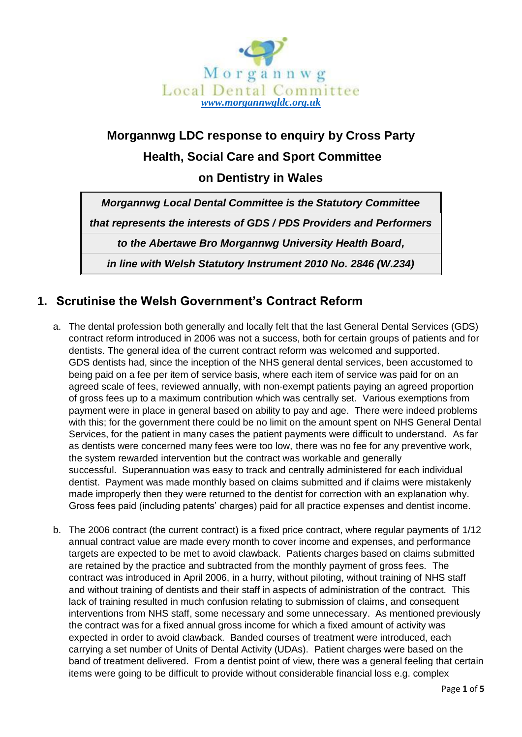

# **Morgannwg LDC response to enquiry by Cross Party Health, Social Care and Sport Committee on Dentistry in Wales**

*Morgannwg Local Dental Committee is the Statutory Committee*

*that represents the interests of GDS / PDS Providers and Performers*

*to the Abertawe Bro Morgannwg University Health Board,*

*in line with Welsh Statutory Instrument 2010 No. 2846 (W.234)*

#### **1. Scrutinise the Welsh Government's Contract Reform**

- a. The dental profession both generally and locally felt that the last General Dental Services (GDS) contract reform introduced in 2006 was not a success, both for certain groups of patients and for dentists. The general idea of the current contract reform was welcomed and supported. GDS dentists had, since the inception of the NHS general dental services, been accustomed to being paid on a fee per item of service basis, where each item of service was paid for on an agreed scale of fees, reviewed annually, with non-exempt patients paying an agreed proportion of gross fees up to a maximum contribution which was centrally set. Various exemptions from payment were in place in general based on ability to pay and age. There were indeed problems with this; for the government there could be no limit on the amount spent on NHS General Dental Services, for the patient in many cases the patient payments were difficult to understand. As far as dentists were concerned many fees were too low, there was no fee for any preventive work, the system rewarded intervention but the contract was workable and generally successful. Superannuation was easy to track and centrally administered for each individual dentist. Payment was made monthly based on claims submitted and if claims were mistakenly made improperly then they were returned to the dentist for correction with an explanation why. Gross fees paid (including patents' charges) paid for all practice expenses and dentist income.
- b. The 2006 contract (the current contract) is a fixed price contract, where regular payments of 1/12 annual contract value are made every month to cover income and expenses, and performance targets are expected to be met to avoid clawback. Patients charges based on claims submitted are retained by the practice and subtracted from the monthly payment of gross fees. The contract was introduced in April 2006, in a hurry, without piloting, without training of NHS staff and without training of dentists and their staff in aspects of administration of the contract. This lack of training resulted in much confusion relating to submission of claims, and consequent interventions from NHS staff, some necessary and some unnecessary. As mentioned previously the contract was for a fixed annual gross income for which a fixed amount of activity was expected in order to avoid clawback. Banded courses of treatment were introduced, each carrying a set number of Units of Dental Activity (UDAs). Patient charges were based on the band of treatment delivered. From a dentist point of view, there was a general feeling that certain items were going to be difficult to provide without considerable financial loss e.g. complex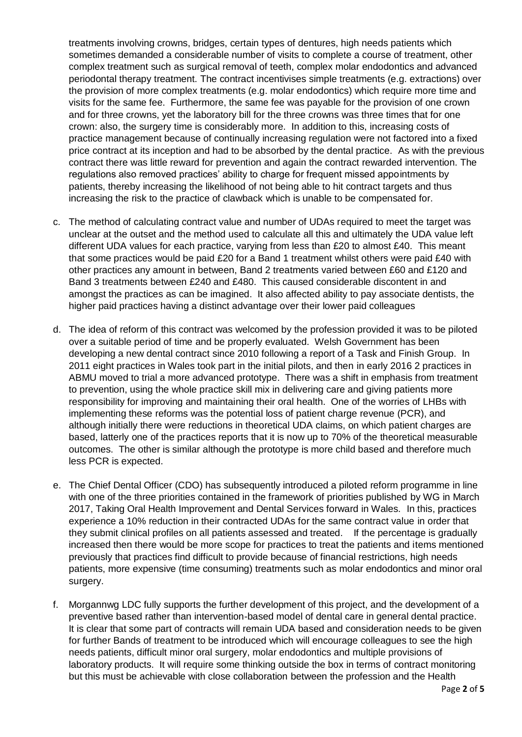treatments involving crowns, bridges, certain types of dentures, high needs patients which sometimes demanded a considerable number of visits to complete a course of treatment, other complex treatment such as surgical removal of teeth, complex molar endodontics and advanced periodontal therapy treatment. The contract incentivises simple treatments (e.g. extractions) over the provision of more complex treatments (e.g. molar endodontics) which require more time and visits for the same fee. Furthermore, the same fee was payable for the provision of one crown and for three crowns, yet the laboratory bill for the three crowns was three times that for one crown: also, the surgery time is considerably more. In addition to this, increasing costs of practice management because of continually increasing regulation were not factored into a fixed price contract at its inception and had to be absorbed by the dental practice. As with the previous contract there was little reward for prevention and again the contract rewarded intervention. The regulations also removed practices' ability to charge for frequent missed appointments by patients, thereby increasing the likelihood of not being able to hit contract targets and thus increasing the risk to the practice of clawback which is unable to be compensated for.

- c. The method of calculating contract value and number of UDAs required to meet the target was unclear at the outset and the method used to calculate all this and ultimately the UDA value left different UDA values for each practice, varying from less than £20 to almost £40. This meant that some practices would be paid £20 for a Band 1 treatment whilst others were paid £40 with other practices any amount in between, Band 2 treatments varied between £60 and £120 and Band 3 treatments between £240 and £480. This caused considerable discontent in and amongst the practices as can be imagined. It also affected ability to pay associate dentists, the higher paid practices having a distinct advantage over their lower paid colleagues
- d. The idea of reform of this contract was welcomed by the profession provided it was to be piloted over a suitable period of time and be properly evaluated. Welsh Government has been developing a new dental contract since 2010 following a report of a Task and Finish Group. In 2011 eight practices in Wales took part in the initial pilots, and then in early 2016 2 practices in ABMU moved to trial a more advanced prototype. There was a shift in emphasis from treatment to prevention, using the whole practice skill mix in delivering care and giving patients more responsibility for improving and maintaining their oral health. One of the worries of LHBs with implementing these reforms was the potential loss of patient charge revenue (PCR), and although initially there were reductions in theoretical UDA claims, on which patient charges are based, latterly one of the practices reports that it is now up to 70% of the theoretical measurable outcomes. The other is similar although the prototype is more child based and therefore much less PCR is expected.
- e. The Chief Dental Officer (CDO) has subsequently introduced a piloted reform programme in line with one of the three priorities contained in the framework of priorities published by WG in March 2017, Taking Oral Health Improvement and Dental Services forward in Wales. In this, practices experience a 10% reduction in their contracted UDAs for the same contract value in order that they submit clinical profiles on all patients assessed and treated. If the percentage is gradually increased then there would be more scope for practices to treat the patients and items mentioned previously that practices find difficult to provide because of financial restrictions, high needs patients, more expensive (time consuming) treatments such as molar endodontics and minor oral surgery.
- f. Morgannwg LDC fully supports the further development of this project, and the development of a preventive based rather than intervention-based model of dental care in general dental practice. It is clear that some part of contracts will remain UDA based and consideration needs to be given for further Bands of treatment to be introduced which will encourage colleagues to see the high needs patients, difficult minor oral surgery, molar endodontics and multiple provisions of laboratory products. It will require some thinking outside the box in terms of contract monitoring but this must be achievable with close collaboration between the profession and the Health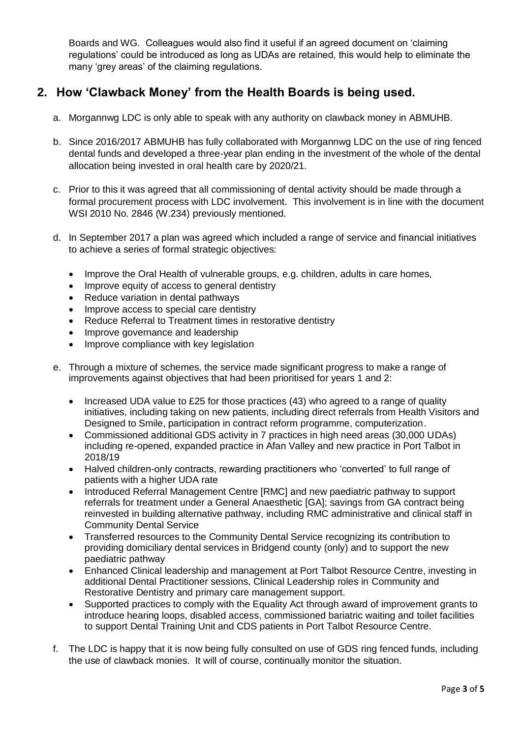Boards and WG. Colleagues would also find it useful if an agreed document on 'claiming regulations' could be introduced as long as UDAs are retained, this would help to eliminate the many 'grey areas' of the claiming regulations.

## **2. How 'Clawback Money' from the Health Boards is being used.**

- a. Morgannwg LDC is only able to speak with any authority on clawback money in ABMUHB.
- b. Since 2016/2017 ABMUHB has fully collaborated with Morgannwg LDC on the use of ring fenced dental funds and developed a three-year plan ending in the investment of the whole of the dental allocation being invested in oral health care by 2020/21.
- c. Prior to this it was agreed that all commissioning of dental activity should be made through a formal procurement process with LDC involvement. This involvement is in line with the document WSI 2010 No. 2846 (W.234) previously mentioned.
- d. In September 2017 a plan was agreed which included a range of service and financial initiatives to achieve a series of formal strategic objectives:
	- Improve the Oral Health of vulnerable groups, e.g. children, adults in care homes,
	- Improve equity of access to general dentistry
	- Reduce variation in dental pathways
	- Improve access to special care dentistry
	- Reduce Referral to Treatment times in restorative dentistry
	- Improve governance and leadership
	- Improve compliance with key legislation
- e. Through a mixture of schemes, the service made significant progress to make a range of improvements against objectives that had been prioritised for years 1 and 2:
	- Increased UDA value to £25 for those practices (43) who agreed to a range of quality initiatives, including taking on new patients, including direct referrals from Health Visitors and Designed to Smile, participation in contract reform programme, computerization.
	- Commissioned additional GDS activity in 7 practices in high need areas (30,000 UDAs) including re-opened, expanded practice in Afan Valley and new practice in Port Talbot in 2018/19
	- Halved children-only contracts, rewarding practitioners who 'converted' to full range of patients with a higher UDA rate
	- Introduced Referral Management Centre [RMC] and new paediatric pathway to support referrals for treatment under a General Anaesthetic [GA]; savings from GA contract being reinvested in building alternative pathway, including RMC administrative and clinical staff in Community Dental Service
	- Transferred resources to the Community Dental Service recognizing its contribution to providing domiciliary dental services in Bridgend county (only) and to support the new paediatric pathway
	- Enhanced Clinical leadership and management at Port Talbot Resource Centre, investing in additional Dental Practitioner sessions, Clinical Leadership roles in Community and Restorative Dentistry and primary care management support.
	- Supported practices to comply with the Equality Act through award of improvement grants to introduce hearing loops, disabled access, commissioned bariatric waiting and toilet facilities to support Dental Training Unit and CDS patients in Port Talbot Resource Centre.
- f. The LDC is happy that it is now being fully consulted on use of GDS ring fenced funds, including the use of clawback monies. It will of course, continually monitor the situation.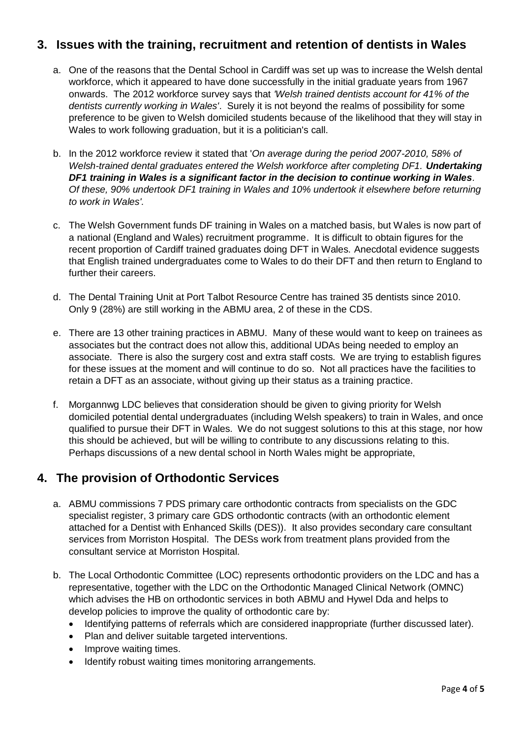## **3. Issues with the training, recruitment and retention of dentists in Wales**

- a. One of the reasons that the Dental School in Cardiff was set up was to increase the Welsh dental workforce, which it appeared to have done successfully in the initial graduate years from 1967 onwards. The 2012 workforce survey says that *'Welsh trained dentists account for 41% of the dentists currently working in Wales'*. Surely it is not beyond the realms of possibility for some preference to be given to Welsh domiciled students because of the likelihood that they will stay in Wales to work following graduation, but it is a politician's call.
- b. In the 2012 workforce review it stated that '*On average during the period 2007-2010, 58% of Welsh-trained dental graduates entered the Welsh workforce after completing DF1. Undertaking DF1 training in Wales is a significant factor in the decision to continue working in Wales. Of these, 90% undertook DF1 training in Wales and 10% undertook it elsewhere before returning to work in Wales'.*
- c. The Welsh Government funds DF training in Wales on a matched basis, but Wales is now part of a national (England and Wales) recruitment programme. It is difficult to obtain figures for the recent proportion of Cardiff trained graduates doing DFT in Wales. Anecdotal evidence suggests that English trained undergraduates come to Wales to do their DFT and then return to England to further their careers.
- d. The Dental Training Unit at Port Talbot Resource Centre has trained 35 dentists since 2010. Only 9 (28%) are still working in the ABMU area, 2 of these in the CDS.
- e. There are 13 other training practices in ABMU. Many of these would want to keep on trainees as associates but the contract does not allow this, additional UDAs being needed to employ an associate. There is also the surgery cost and extra staff costs. We are trying to establish figures for these issues at the moment and will continue to do so. Not all practices have the facilities to retain a DFT as an associate, without giving up their status as a training practice.
- f. Morgannwg LDC believes that consideration should be given to giving priority for Welsh domiciled potential dental undergraduates (including Welsh speakers) to train in Wales, and once qualified to pursue their DFT in Wales. We do not suggest solutions to this at this stage, nor how this should be achieved, but will be willing to contribute to any discussions relating to this. Perhaps discussions of a new dental school in North Wales might be appropriate,

#### **4. The provision of Orthodontic Services**

- a. ABMU commissions 7 PDS primary care orthodontic contracts from specialists on the GDC specialist register, 3 primary care GDS orthodontic contracts (with an orthodontic element attached for a Dentist with Enhanced Skills (DES)). It also provides secondary care consultant services from Morriston Hospital. The DESs work from treatment plans provided from the consultant service at Morriston Hospital.
- b. The Local Orthodontic Committee (LOC) represents orthodontic providers on the LDC and has a representative, together with the LDC on the Orthodontic Managed Clinical Network (OMNC) which advises the HB on orthodontic services in both ABMU and Hywel Dda and helps to develop policies to improve the quality of orthodontic care by:
	- Identifying patterns of referrals which are considered inappropriate (further discussed later).
	- Plan and deliver suitable targeted interventions.
	- Improve waiting times.
	- Identify robust waiting times monitoring arrangements.